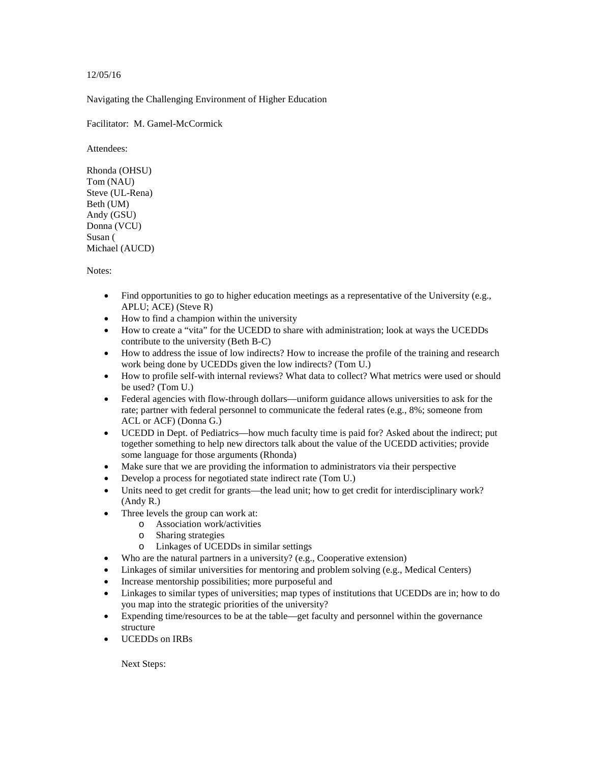12/05/16

Navigating the Challenging Environment of Higher Education

Facilitator: M. Gamel-McCormick

Attendees:

Rhonda (OHSU) Tom (NAU) Steve (UL-Rena) Beth (UM) Andy (GSU) Donna (VCU) Susan ( Michael (AUCD)

Notes:

- Find opportunities to go to higher education meetings as a representative of the University (e.g., APLU; ACE) (Steve R)
- How to find a champion within the university
- How to create a "vita" for the UCEDD to share with administration; look at ways the UCEDDs contribute to the university (Beth B-C)
- How to address the issue of low indirects? How to increase the profile of the training and research work being done by UCEDDs given the low indirects? (Tom U.)
- How to profile self-with internal reviews? What data to collect? What metrics were used or should be used? (Tom U.)
- Federal agencies with flow-through dollars—uniform guidance allows universities to ask for the rate; partner with federal personnel to communicate the federal rates (e.g., 8%; someone from ACL or ACF) (Donna G.)
- UCEDD in Dept. of Pediatrics—how much faculty time is paid for? Asked about the indirect; put together something to help new directors talk about the value of the UCEDD activities; provide some language for those arguments (Rhonda)
- Make sure that we are providing the information to administrators via their perspective
- Develop a process for negotiated state indirect rate (Tom U.)
- Units need to get credit for grants—the lead unit; how to get credit for interdisciplinary work? (Andy R.)
- Three levels the group can work at:
	- o Association work/activities
	- o Sharing strategies
	- o Linkages of UCEDDs in similar settings
- Who are the natural partners in a university? (e.g., Cooperative extension)
- Linkages of similar universities for mentoring and problem solving (e.g., Medical Centers)
- Increase mentorship possibilities; more purposeful and
- Linkages to similar types of universities; map types of institutions that UCEDDs are in; how to do you map into the strategic priorities of the university?
- Expending time/resources to be at the table—get faculty and personnel within the governance structure
- UCEDDs on IRBs

Next Steps: